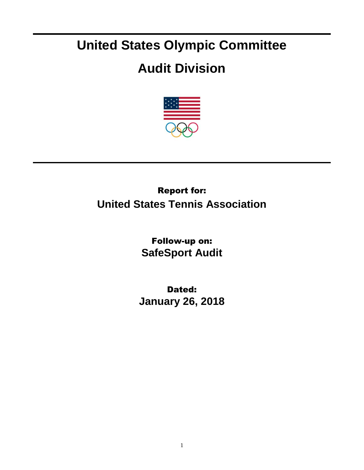## **United States Olympic Committee**

## **Audit Division**



## Report for: **United States Tennis Association**

Follow-up on: **SafeSport Audit**

Dated: **January 26, 2018**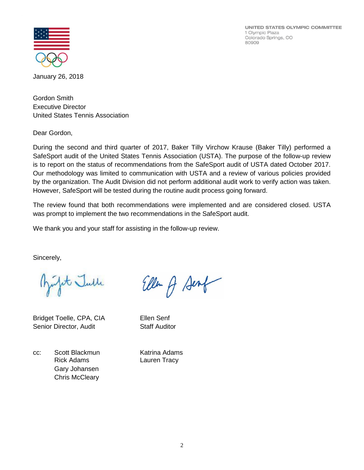UNITED STATES OLYMPIC COMMITTEE 1 Olympic Plaza Colorado Springs, CO 80909



January 26, 2018

Gordon Smith Executive Director United States Tennis Association

Dear Gordon,

During the second and third quarter of 2017, Baker Tilly Virchow Krause (Baker Tilly) performed a SafeSport audit of the United States Tennis Association (USTA). The purpose of the follow-up review is to report on the status of recommendations from the SafeSport audit of USTA dated October 2017. Our methodology was limited to communication with USTA and a review of various policies provided by the organization. The Audit Division did not perform additional audit work to verify action was taken. However, SafeSport will be tested during the routine audit process going forward.

The review found that both recommendations were implemented and are considered closed. USTA was prompt to implement the two recommendations in the SafeSport audit.

Ellen A Sent

We thank you and your staff for assisting in the follow-up review.

Sincerely,

fit Julle

Bridget Toelle, CPA, CIA Ellen Senf Senior Director, Audit Staff Auditor

cc: Scott Blackmun Katrina Adams Rick Adams Lauren Tracy Gary Johansen Chris McCleary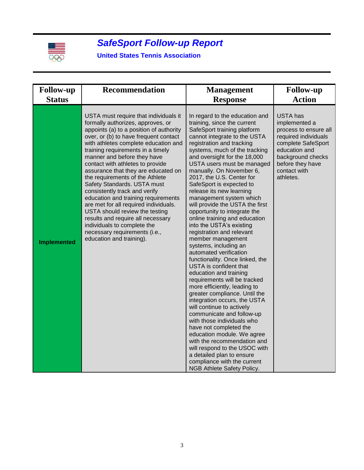

## *SafeSport Follow-up Report*

**United States Tennis Association**

| <b>Follow-up</b>   | <b>Recommendation</b>                                                                                                                                                                                                                                                                                                                                                                                                                                                                                                                                                                                                                                                                                       | <b>Management</b>                                                                                                                                                                                                                                                                                                                                                                                                                                                                                                                                                                                                                                                                                                                                                                                                                                                                                                                                                                                                                                                                                                                                                           | <b>Follow-up</b>                                                                                                                                                                               |
|--------------------|-------------------------------------------------------------------------------------------------------------------------------------------------------------------------------------------------------------------------------------------------------------------------------------------------------------------------------------------------------------------------------------------------------------------------------------------------------------------------------------------------------------------------------------------------------------------------------------------------------------------------------------------------------------------------------------------------------------|-----------------------------------------------------------------------------------------------------------------------------------------------------------------------------------------------------------------------------------------------------------------------------------------------------------------------------------------------------------------------------------------------------------------------------------------------------------------------------------------------------------------------------------------------------------------------------------------------------------------------------------------------------------------------------------------------------------------------------------------------------------------------------------------------------------------------------------------------------------------------------------------------------------------------------------------------------------------------------------------------------------------------------------------------------------------------------------------------------------------------------------------------------------------------------|------------------------------------------------------------------------------------------------------------------------------------------------------------------------------------------------|
| <b>Status</b>      |                                                                                                                                                                                                                                                                                                                                                                                                                                                                                                                                                                                                                                                                                                             | <b>Response</b>                                                                                                                                                                                                                                                                                                                                                                                                                                                                                                                                                                                                                                                                                                                                                                                                                                                                                                                                                                                                                                                                                                                                                             | <b>Action</b>                                                                                                                                                                                  |
| <b>Implemented</b> | USTA must require that individuals it<br>formally authorizes, approves, or<br>appoints (a) to a position of authority<br>over, or (b) to have frequent contact<br>with athletes complete education and<br>training requirements in a timely<br>manner and before they have<br>contact with athletes to provide<br>assurance that they are educated on<br>the requirements of the Athlete<br>Safety Standards. USTA must<br>consistently track and verify<br>education and training requirements<br>are met for all required individuals.<br>USTA should review the testing<br>results and require all necessary<br>individuals to complete the<br>necessary requirements (i.e.,<br>education and training). | In regard to the education and<br>training, since the current<br>SafeSport training platform<br>cannot integrate to the USTA<br>registration and tracking<br>systems, much of the tracking<br>and oversight for the 18,000<br>USTA users must be managed<br>manually. On November 6,<br>2017, the U.S. Center for<br>SafeSport is expected to<br>release its new learning<br>management system which<br>will provide the USTA the first<br>opportunity to integrate the<br>online training and education<br>into the USTA's existing<br>registration and relevant<br>member management<br>systems, including an<br>automated verification<br>functionality. Once linked, the<br>USTA is confident that<br>education and training<br>requirements will be tracked<br>more efficiently, leading to<br>greater compliance. Until the<br>integration occurs, the USTA<br>will continue to actively<br>communicate and follow-up<br>with those individuals who<br>have not completed the<br>education module. We agree<br>with the recommendation and<br>will respond to the USOC with<br>a detailed plan to ensure<br>compliance with the current<br>NGB Athlete Safety Policy. | <b>USTA</b> has<br>implemented a<br>process to ensure all<br>required individuals<br>complete SafeSport<br>education and<br>background checks<br>before they have<br>contact with<br>athletes. |